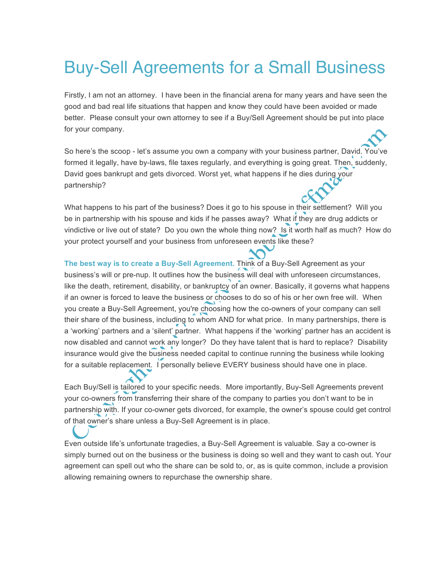## Buy-Sell Agreements for a Small Business

Firstly, I am not an attorney. I have been in the financial arena for many years and have seen the good and bad real life situations that happen and know they could have been avoided or made better. Please consult your own attorney to see if a Buy/Sell Agreement should be put into place for your company.

So here's the scoop - let's assume you own a company with your business partner, David. You've formed it legally, have by-laws, file taxes regularly, and everything is going great. Then, suddenly, David goes bankrupt and gets divorced. Worst yet, what happens if he dies during your partnership?

What happens to his part of the business? Does it go to his spouse in their settlement? Will you be in partnership with his spouse and kids if he passes away? What if they are drug addicts or vindictive or live out of state? Do you own the whole thing now? Is it worth half as much? How do your protect yourself and your business from unforeseen events like these?

**The best way is to create a Buy-Sell Agreement.** Think of a Buy-Sell Agreement as your business's will or pre-nup. It outlines how the business will deal with unforeseen circumstances, like the death, retirement, disability, or bankruptcy of an owner. Basically, it governs what happens if an owner is forced to leave the business or chooses to do so of his or her own free will. When you create a Buy-Sell Agreement, you're choosing how the co-owners of your company can sell their share of the business, including to whom AND for what price. In many partnerships, there is a 'working' partners and a 'silent' partner. What happens if the 'working' partner has an accident is now disabled and cannot work any longer? Do they have talent that is hard to replace? Disability insurance would give the business needed capital to continue running the business while looking for a suitable replacement. I personally believe EVERY business should have one in place.

Each Buy/Sell is tailored to your specific needs. More importantly, Buy-Sell Agreements prevent your co-owners from transferring their share of the company to parties you don't want to be in partnership with. If your co-owner gets divorced, for example, the owner's spouse could get control of that owner's share unless a Buy-Sell Agreement is in place.

Even outside life's unfortunate tragedies, a Buy-Sell Agreement is valuable. Say a co-owner is simply burned out on the business or the business is doing so well and they want to cash out. Your agreement can spell out who the share can be sold to, or, as is quite common, include a provision allowing remaining owners to repurchase the ownership share.